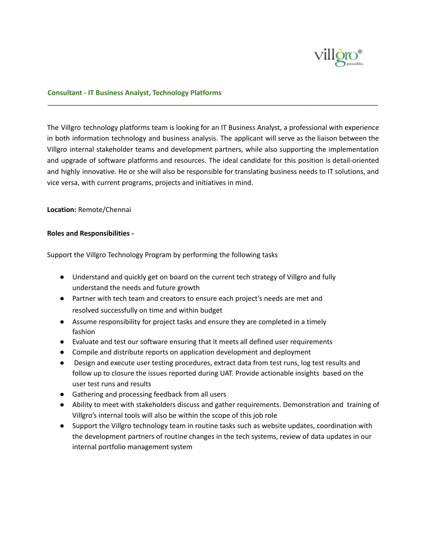

## **Consultant - IT Business Analyst, Technology Platforms**

The Villgro technology platforms team is looking for an IT Business Analyst, a professional with experience in both information technology and business analysis. The applicant will serve as the liaison between the Villgro internal stakeholder teams and development partners, while also supporting the implementation and upgrade of software platforms and resources. The ideal candidate for this position is detail-oriented and highly innovative. He or she will also be responsible for translating business needs to IT solutions, and vice versa, with current programs, projects and initiatives in mind.

**\_\_\_\_\_\_\_\_\_\_\_\_\_\_\_\_\_\_\_\_\_\_\_\_\_\_\_\_\_\_\_\_\_\_\_\_\_\_\_\_\_\_\_\_\_\_\_\_\_\_\_\_\_\_\_\_\_\_\_\_\_\_\_\_\_\_\_\_\_\_\_\_\_\_\_\_\_\_\_\_\_\_\_\_\_\_**

### **Location:** Remote/Chennai

### **Roles and Responsibilities -**

Support the Villgro Technology Program by performing the following tasks

- Understand and quickly get on board on the current tech strategy of Villgro and fully understand the needs and future growth
- Partner with tech team and creators to ensure each project's needs are met and resolved successfully on time and within budget
- Assume responsibility for project tasks and ensure they are completed in a timely fashion
- Evaluate and test our software ensuring that it meets all defined user requirements
- Compile and distribute reports on application development and deployment
- Design and execute user testing procedures, extract data from test runs, log test results and follow up to closure the issues reported during UAT. Provide actionable insights based on the user test runs and results
- Gathering and processing feedback from all users
- Ability to meet with stakeholders discuss and gather requirements. Demonstration and training of Villgro's internal tools will also be within the scope of this job role
- Support the Villgro technology team in routine tasks such as website updates, coordination with the development partners of routine changes in the tech systems, review of data updates in our internal portfolio management system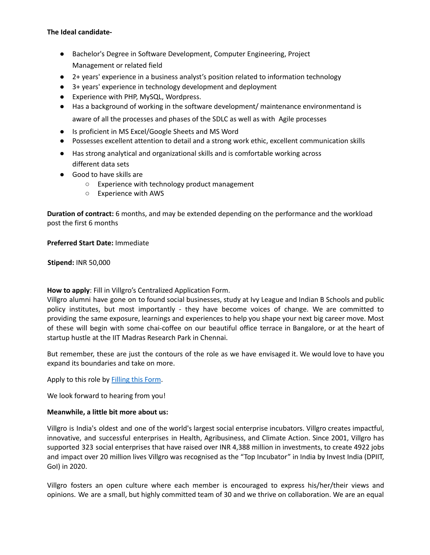# **The Ideal candidate-**

- Bachelor's Degree in Software Development, Computer Engineering, Project Management or related field
- 2+ years' experience in a business analyst's position related to information technology
- 3+ years' experience in technology development and deployment
- Experience with PHP, MySQL, Wordpress.
- Has a background of working in the software development/ maintenance environmentand is aware of all the processes and phases of the SDLC as well as with Agile processes
- Is proficient in MS Excel/Google Sheets and MS Word
- Possesses excellent attention to detail and a strong work ethic, excellent communication skills
- Has strong analytical and organizational skills and is comfortable working across different data sets
- Good to have skills are
	- Experience with technology product management
	- Experience with AWS

**Duration of contract:** 6 months, and may be extended depending on the performance and the workload post the first 6 months

**Preferred Start Date:** Immediate

**Stipend:** INR 50,000

**How to apply**: Fill in Villgro's Centralized Application Form.

Villgro alumni have gone on to found social businesses, study at Ivy League and Indian B Schools and public policy institutes, but most importantly - they have become voices of change. We are committed to providing the same exposure, learnings and experiences to help you shape your next big career move. Most of these will begin with some chai-coffee on our beautiful office terrace in Bangalore, or at the heart of startup hustle at the IIT Madras Research Park in Chennai.

But remember, these are just the contours of the role as we have envisaged it. We would love to have you expand its boundaries and take on more.

Apply to this role by **[Filling](https://docs.google.com/forms/d/e/1FAIpQLSfLQb8v34NWZuJG10T7Td-21j7cQw20z6naEPeScYUOKf718w/viewform) this Form**.

We look forward to hearing from you!

### **Meanwhile, a little bit more about us:**

Villgro is India's oldest and one of the world's largest social enterprise incubators. Villgro creates impactful, innovative, and successful enterprises in Health, Agribusiness, and Climate Action. Since 2001, Villgro has supported 323 social enterprises that have raised over INR 4,388 million in investments, to create 4922 jobs and impact over 20 million lives Villgro was recognised as the "Top Incubator" in India by Invest India (DPIIT, GoI) in 2020.

Villgro fosters an open culture where each member is encouraged to express his/her/their views and opinions. We are a small, but highly committed team of 30 and we thrive on collaboration. We are an equal